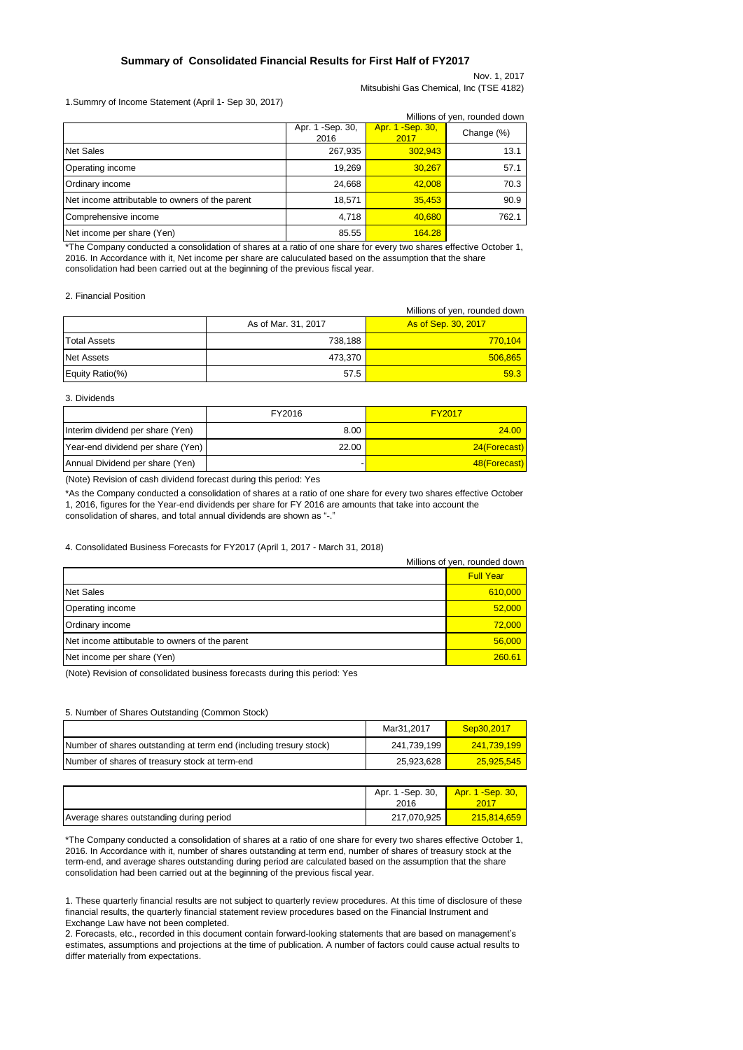### **Summary of Consolidated Financial Results for First Half of FY2017**

Nov. 1, 2017 Mitsubishi Gas Chemical, Inc (TSE 4182)

### 1.Summry of Income Statement (April 1- Sep 30, 2017)

| Millions of yen, rounded down                   |                           |                           |       |  |  |
|-------------------------------------------------|---------------------------|---------------------------|-------|--|--|
|                                                 | Apr. 1 - Sep. 30,<br>2016 | Apr. 1 - Sep. 30,<br>2017 |       |  |  |
| <b>Net Sales</b>                                | 267,935                   | 302.943                   | 13.1  |  |  |
| Operating income                                | 19,269                    | 30.267                    | 57.1  |  |  |
| Ordinary income                                 | 24,668                    | 42,008                    | 70.3  |  |  |
| Net income attributable to owners of the parent | 18,571                    | 35,453                    | 90.9  |  |  |
| Comprehensive income                            | 4,718                     | 40,680                    | 762.1 |  |  |
| Net income per share (Yen)                      | 85.55                     | 164.28                    |       |  |  |

\*The Company conducted a consolidation of shares at a ratio of one share for every two shares effective October 1, 2016. In Accordance with it, Net income per share are caluculated based on the assumption that the share consolidation had been carried out at the beginning of the previous fiscal year.

#### 2. Financial Position

|                     |                     | Millions of yen, rounded down |
|---------------------|---------------------|-------------------------------|
|                     | As of Mar. 31, 2017 | As of Sep. 30, 2017           |
| <b>Total Assets</b> | 738,188             | 770,104                       |
| Net Assets          | 473,370             | 506,865                       |
| Equity Ratio(%)     | 57.5                | 59.3                          |

#### 3. Dividends

|                                   | FY2016 | <b>FY2017</b> |
|-----------------------------------|--------|---------------|
| Interim dividend per share (Yen)  | 8.00   | 24.00         |
| Year-end dividend per share (Yen) | 22.00  | 24(Forecast)  |
| Annual Dividend per share (Yen)   |        | 48(Forecast)  |

(Note) Revision of cash dividend forecast during this period: Yes

\*As the Company conducted a consolidation of shares at a ratio of one share for every two shares effective October 1, 2016, figures for the Year-end dividends per share for FY 2016 are amounts that take into account the consolidation of shares, and total annual dividends are shown as "-."

### 4. Consolidated Business Forecasts for FY2017 (April 1, 2017 - March 31, 2018)

|                                                | Millions of yen, rounded down |  |  |
|------------------------------------------------|-------------------------------|--|--|
|                                                | <b>Full Year</b>              |  |  |
| <b>Net Sales</b>                               | 610,000                       |  |  |
| Operating income                               | 52,000                        |  |  |
| Ordinary income                                | 72,000                        |  |  |
| Net income attibutable to owners of the parent | 56.000                        |  |  |
| Net income per share (Yen)                     | 260.61                        |  |  |

(Note) Revision of consolidated business forecasts during this period: Yes

#### 5. Number of Shares Outstanding (Common Stock)

|                                                                    | Mar31.2017  | Sep30.2017  |
|--------------------------------------------------------------------|-------------|-------------|
| Number of shares outstanding at term end (including tresury stock) | 241.739.199 | 241.739.199 |
| Number of shares of treasury stock at term-end                     | 25.923.628  | 25.925.545  |

|                                          | Apr. 1 - Sep. 30,<br>2016 | Apr. 1 - Sep. 30, |
|------------------------------------------|---------------------------|-------------------|
| Average shares outstanding during period | 217,070,925               | 215,814,659       |

\*The Company conducted a consolidation of shares at a ratio of one share for every two shares effective October 1, 2016. In Accordance with it, number of shares outstanding at term end, number of shares of treasury stock at the term-end, and average shares outstanding during period are calculated based on the assumption that the share consolidation had been carried out at the beginning of the previous fiscal year.

1. These quarterly financial results are not subject to quarterly review procedures. At this time of disclosure of these financial results, the quarterly financial statement review procedures based on the Financial Instrument and Exchange Law have not been completed.

2. Forecasts, etc., recorded in this document contain forward-looking statements that are based on management's estimates, assumptions and projections at the time of publication. A number of factors could cause actual results to differ materially from expectations.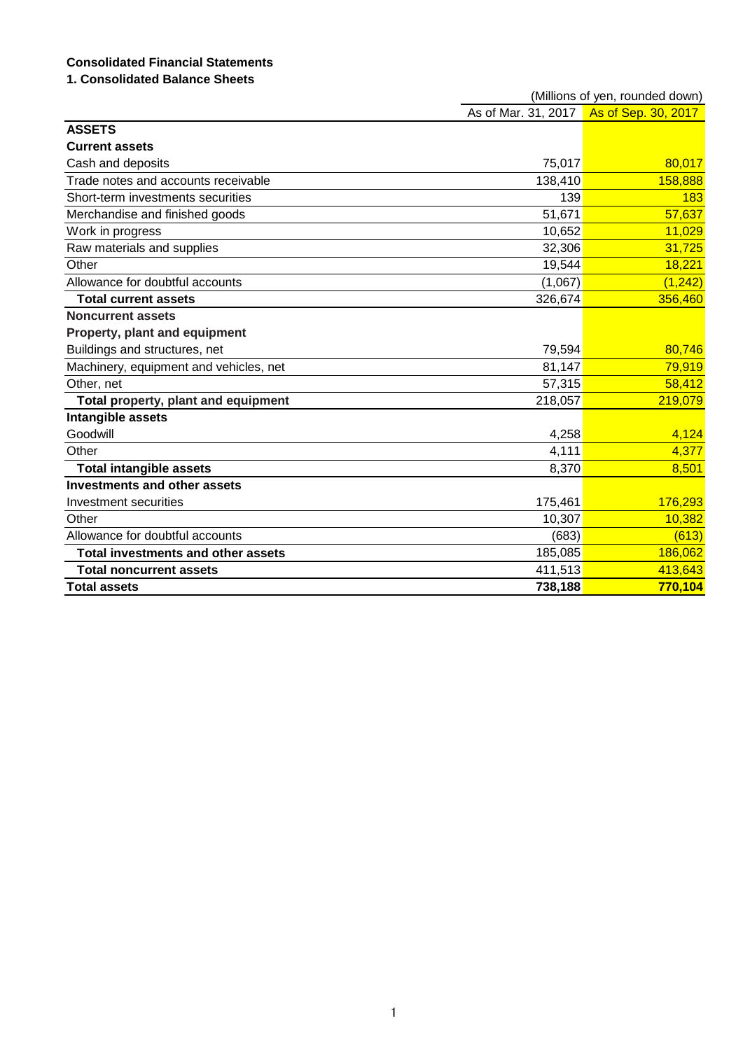# **Consolidated Financial Statements**

# **1. Consolidated Balance Sheets**

|                                        | (Millions of yen, rounded down) |                     |  |  |
|----------------------------------------|---------------------------------|---------------------|--|--|
|                                        | As of Mar. 31, 2017             | As of Sep. 30, 2017 |  |  |
| <b>ASSETS</b>                          |                                 |                     |  |  |
| <b>Current assets</b>                  |                                 |                     |  |  |
| Cash and deposits                      | 75,017                          | 80,017              |  |  |
| Trade notes and accounts receivable    | 138,410                         | 158,888             |  |  |
| Short-term investments securities      | 139                             | 183                 |  |  |
| Merchandise and finished goods         | 51,671                          | 57,637              |  |  |
| Work in progress                       | 10,652                          | 11,029              |  |  |
| Raw materials and supplies             | 32,306                          | 31,725              |  |  |
| Other                                  | 19,544                          | 18,221              |  |  |
| Allowance for doubtful accounts        | (1,067)                         | (1, 242)            |  |  |
| <b>Total current assets</b>            | 326,674                         | 356,460             |  |  |
| <b>Noncurrent assets</b>               |                                 |                     |  |  |
| Property, plant and equipment          |                                 |                     |  |  |
| Buildings and structures, net          | 79,594                          | 80,746              |  |  |
| Machinery, equipment and vehicles, net | 81,147                          | 79,919              |  |  |
| Other, net                             | 57,315                          | 58,412              |  |  |
| Total property, plant and equipment    | 218,057                         | 219,079             |  |  |
| Intangible assets                      |                                 |                     |  |  |
| Goodwill                               | 4,258                           | 4,124               |  |  |
| Other                                  | 4,111                           | 4,377               |  |  |
| <b>Total intangible assets</b>         | 8,370                           | 8,501               |  |  |
| <b>Investments and other assets</b>    |                                 |                     |  |  |
| Investment securities                  | 175,461                         | 176,293             |  |  |
| Other                                  | 10,307                          | 10,382              |  |  |
| Allowance for doubtful accounts        | (683)                           | (613)               |  |  |
| Total investments and other assets     | 185,085                         | 186,062             |  |  |
| <b>Total noncurrent assets</b>         | 411,513                         | 413,643             |  |  |
| <b>Total assets</b>                    | 738,188                         | 770,104             |  |  |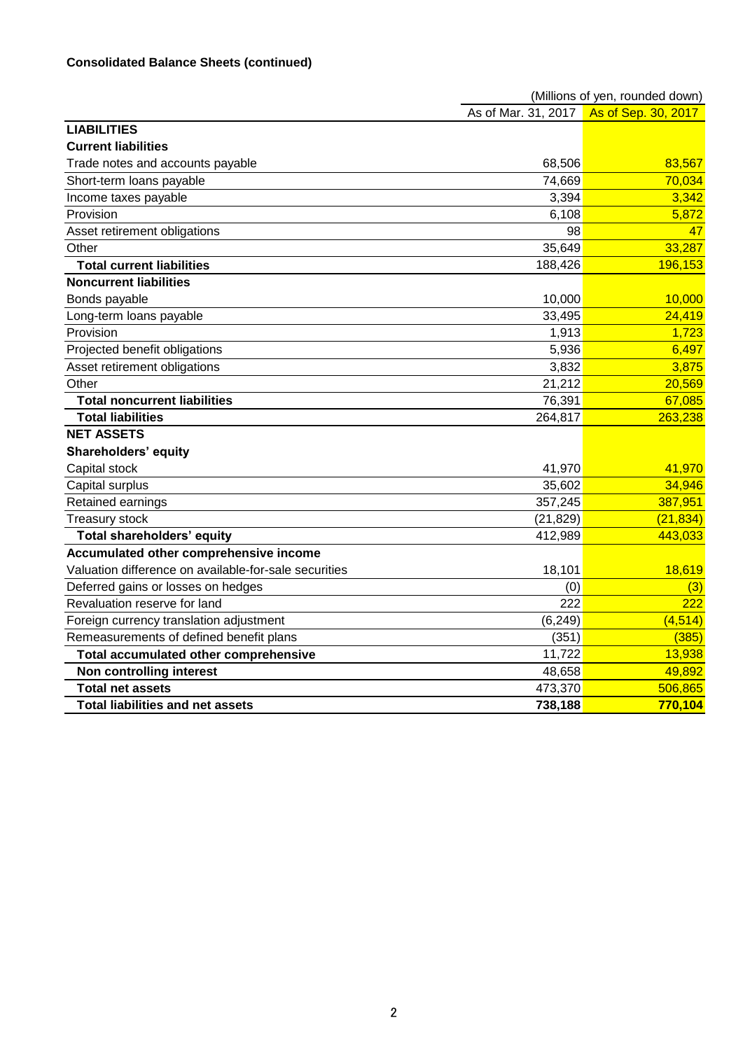|                                                       | (Millions of yen, rounded down) |                     |  |  |
|-------------------------------------------------------|---------------------------------|---------------------|--|--|
|                                                       | As of Mar. 31, 2017             | As of Sep. 30, 2017 |  |  |
| <b>LIABILITIES</b>                                    |                                 |                     |  |  |
| <b>Current liabilities</b>                            |                                 |                     |  |  |
| Trade notes and accounts payable                      | 68,506                          | 83,567              |  |  |
| Short-term loans payable                              | 74,669                          | 70,034              |  |  |
| Income taxes payable                                  | 3,394                           | 3,342               |  |  |
| Provision                                             | 6,108                           | 5,872               |  |  |
| Asset retirement obligations                          | 98                              | 47                  |  |  |
| Other                                                 | 35,649                          | 33,287              |  |  |
| <b>Total current liabilities</b>                      | 188,426                         | 196,153             |  |  |
| <b>Noncurrent liabilities</b>                         |                                 |                     |  |  |
| Bonds payable                                         | 10,000                          | 10,000              |  |  |
| Long-term loans payable                               | 33,495                          | 24,419              |  |  |
| Provision                                             | 1,913                           | 1,723               |  |  |
| Projected benefit obligations                         | 5,936                           | 6,497               |  |  |
| Asset retirement obligations                          | 3,832                           | 3,875               |  |  |
| Other                                                 | 21,212                          | 20,569              |  |  |
| <b>Total noncurrent liabilities</b>                   | 76,391                          | 67,085              |  |  |
| <b>Total liabilities</b>                              | 264,817                         | 263,238             |  |  |
| <b>NET ASSETS</b>                                     |                                 |                     |  |  |
| Shareholders' equity                                  |                                 |                     |  |  |
| Capital stock                                         | 41,970                          | 41,970              |  |  |
| Capital surplus                                       | 35,602                          | 34,946              |  |  |
| Retained earnings                                     | 357,245                         | 387,951             |  |  |
| Treasury stock                                        | (21, 829)                       | (21, 834)           |  |  |
| <b>Total shareholders' equity</b>                     | 412,989                         | 443,033             |  |  |
| Accumulated other comprehensive income                |                                 |                     |  |  |
| Valuation difference on available-for-sale securities | 18,101                          | 18,619              |  |  |
| Deferred gains or losses on hedges                    | (0)                             | (3)                 |  |  |
| Revaluation reserve for land                          | 222                             | 222                 |  |  |
| Foreign currency translation adjustment               | (6, 249)                        | (4, 514)            |  |  |
| Remeasurements of defined benefit plans               | (351)                           | (385)               |  |  |
| Total accumulated other comprehensive                 | 11,722                          | 13,938              |  |  |
| Non controlling interest                              | 48,658                          | 49,892              |  |  |
| <b>Total net assets</b>                               | 473,370                         | 506,865             |  |  |
| <b>Total liabilities and net assets</b>               | 738,188                         | 770,104             |  |  |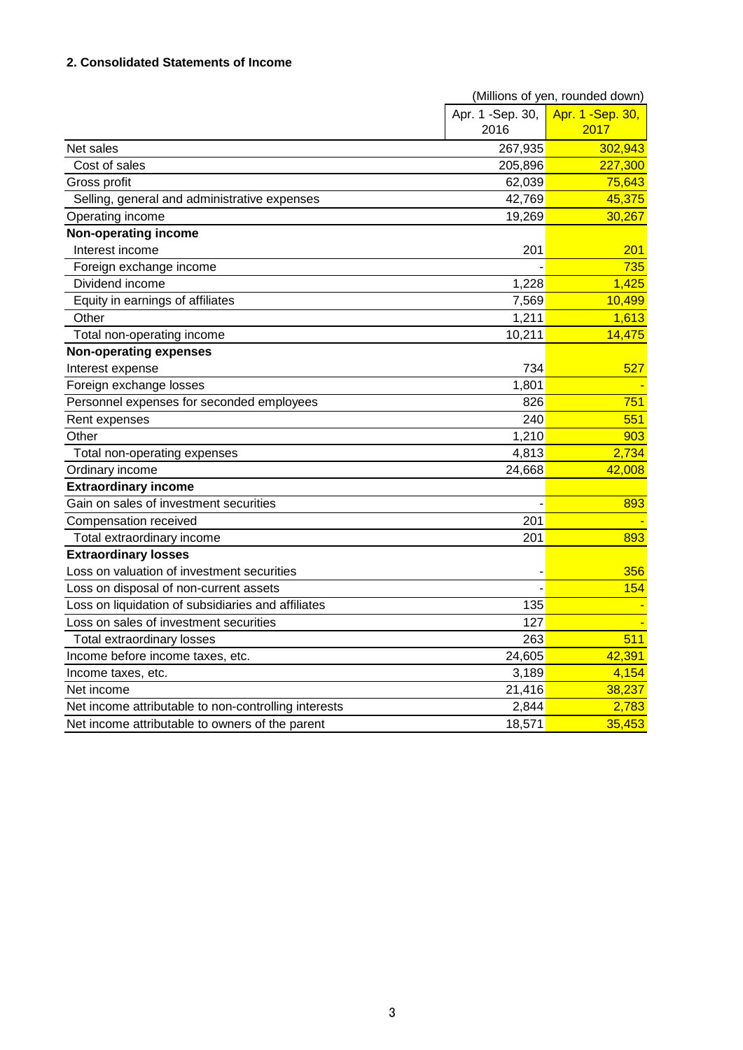## **2. Consolidated Statements of Income**

|                                                      | (Millions of yen, rounded down) |                   |  |  |
|------------------------------------------------------|---------------------------------|-------------------|--|--|
|                                                      | Apr. 1 -Sep. 30,                | Apr. 1 - Sep. 30, |  |  |
|                                                      | 2016                            | 2017              |  |  |
| Net sales                                            | 267,935                         | 302,943           |  |  |
| Cost of sales                                        | 205,896                         | 227,300           |  |  |
| Gross profit                                         | 62,039                          | 75,643            |  |  |
| Selling, general and administrative expenses         | 42,769                          | 45,375            |  |  |
| Operating income                                     | 19,269                          | 30,267            |  |  |
| Non-operating income                                 |                                 |                   |  |  |
| Interest income                                      | 201                             | 201               |  |  |
| Foreign exchange income                              |                                 | 735               |  |  |
| Dividend income                                      | 1,228                           | 1,425             |  |  |
| Equity in earnings of affiliates                     | 7,569                           | 10,499            |  |  |
| Other                                                | 1,211                           | 1,613             |  |  |
| Total non-operating income                           | 10,211                          | 14,475            |  |  |
| <b>Non-operating expenses</b>                        |                                 |                   |  |  |
| Interest expense                                     | 734                             | 527               |  |  |
| Foreign exchange losses                              | 1,801                           |                   |  |  |
| Personnel expenses for seconded employees            | 826                             | 751               |  |  |
| Rent expenses                                        | 240                             | 551               |  |  |
| Other                                                | 1,210                           | 903               |  |  |
| Total non-operating expenses                         | 4,813                           | 2,734             |  |  |
| Ordinary income                                      | 24,668                          | 42,008            |  |  |
| <b>Extraordinary income</b>                          |                                 |                   |  |  |
| Gain on sales of investment securities               |                                 | 893               |  |  |
| Compensation received                                | 201                             |                   |  |  |
| Total extraordinary income                           | 201                             | 893               |  |  |
| <b>Extraordinary losses</b>                          |                                 |                   |  |  |
| Loss on valuation of investment securities           |                                 | 356               |  |  |
| Loss on disposal of non-current assets               |                                 | 154               |  |  |
| Loss on liquidation of subsidiaries and affiliates   | 135                             |                   |  |  |
| Loss on sales of investment securities               | 127                             |                   |  |  |
| <b>Total extraordinary losses</b>                    | 263                             | 511               |  |  |
| Income before income taxes, etc.                     | 24,605                          | 42,391            |  |  |
| Income taxes, etc.                                   | 3,189                           | 4,154             |  |  |
| Net income                                           | 21,416                          | 38,237            |  |  |
| Net income attributable to non-controlling interests | 2,844                           | 2,783             |  |  |
| Net income attributable to owners of the parent      | 18,571                          | 35,453            |  |  |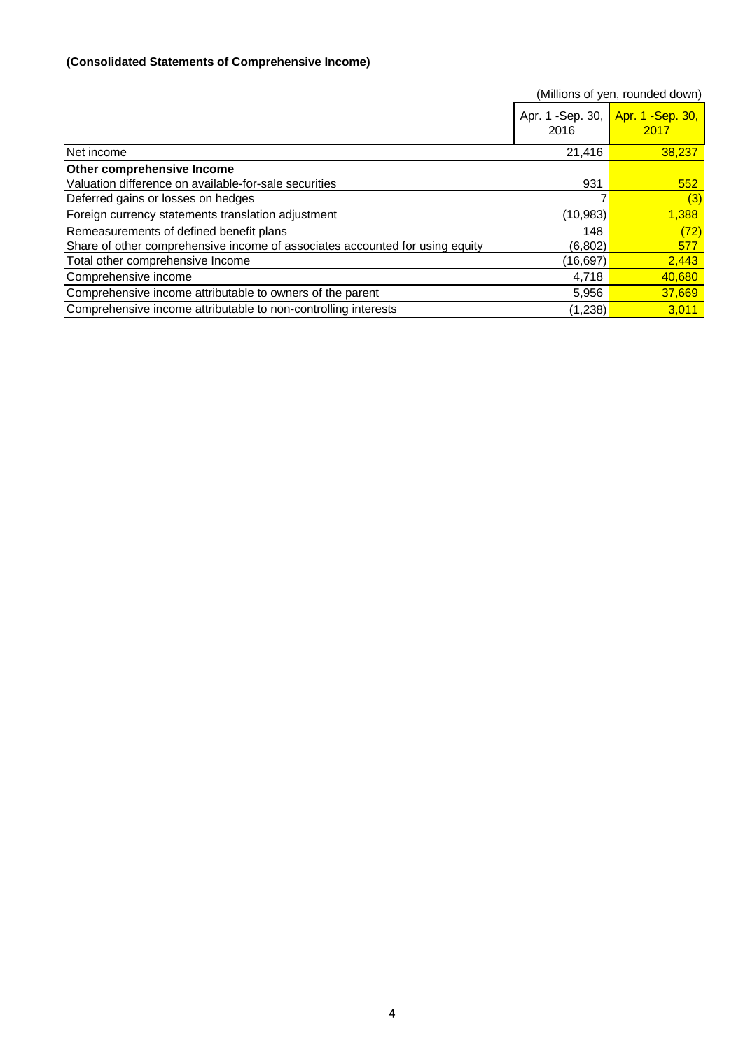# **(Consolidated Statements of Comprehensive Income)**

|                                                                              |                           | (Millions of yen, rounded down) |
|------------------------------------------------------------------------------|---------------------------|---------------------------------|
|                                                                              | Apr. 1 - Sep. 30,<br>2016 | Apr. 1 - Sep. 30,<br>2017       |
| Net income                                                                   | 21,416                    | 38,237                          |
| Other comprehensive Income                                                   |                           |                                 |
| Valuation difference on available-for-sale securities                        | 931                       | 552                             |
| Deferred gains or losses on hedges                                           |                           | (3)                             |
| Foreign currency statements translation adjustment                           | (10,983)                  | 1,388                           |
| Remeasurements of defined benefit plans                                      | 148                       | (72)                            |
| Share of other comprehensive income of associates accounted for using equity | (6,802)                   | 577                             |
| Total other comprehensive Income                                             | (16,697)                  | 2,443                           |
| Comprehensive income                                                         | 4,718                     | 40,680                          |
| Comprehensive income attributable to owners of the parent                    | 5,956                     | 37,669                          |
| Comprehensive income attributable to non-controlling interests               | (1,238)                   | 3.011                           |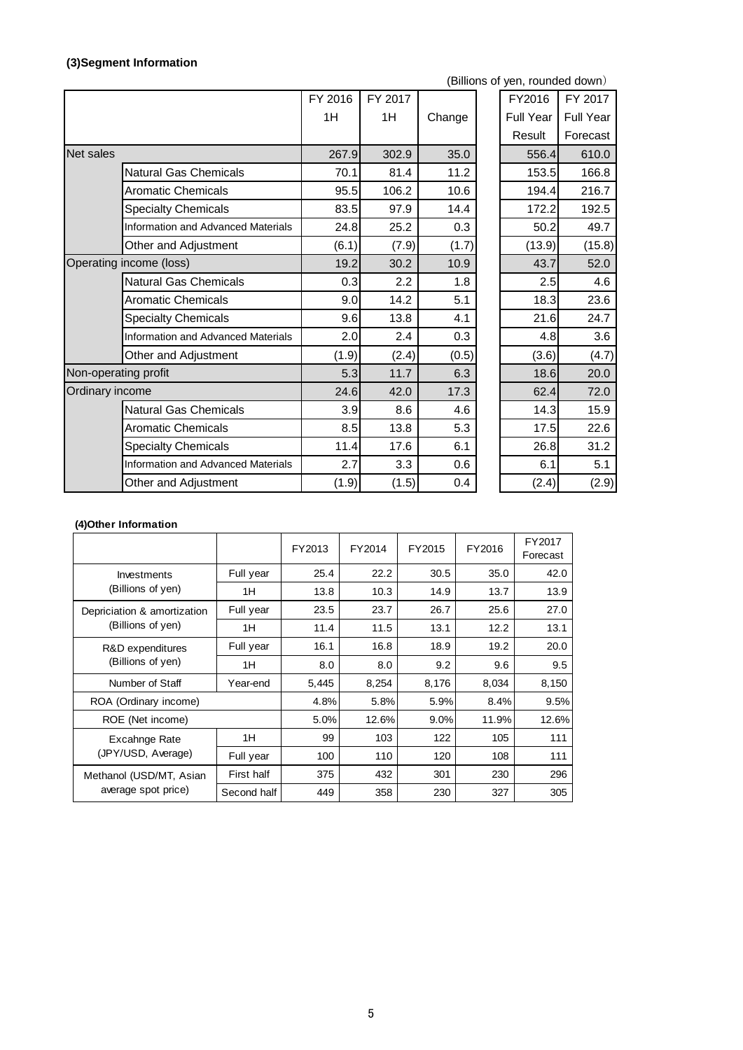# **(3)Segment Information**

(Billions of yen, rounded down)

|                         |                                           | FY 2016 | FY 2017 |        | FY2016    | FY 2017          |
|-------------------------|-------------------------------------------|---------|---------|--------|-----------|------------------|
|                         |                                           | 1H      | 1H      | Change | Full Year | <b>Full Year</b> |
|                         |                                           |         |         |        | Result    | Forecast         |
| <b>Net sales</b>        |                                           | 267.9   | 302.9   | 35.0   | 556.4     | 610.0            |
|                         | <b>Natural Gas Chemicals</b>              | 70.1    | 81.4    | 11.2   | 153.5     | 166.8            |
|                         | <b>Aromatic Chemicals</b>                 | 95.5    | 106.2   | 10.6   | 194.4     | 216.7            |
|                         | <b>Specialty Chemicals</b>                | 83.5    | 97.9    | 14.4   | 172.2     | 192.5            |
|                         | <b>Information and Advanced Materials</b> | 24.8    | 25.2    | 0.3    | 50.2      | 49.7             |
|                         | Other and Adjustment                      | (6.1)   | (7.9)   | (1.7)  | (13.9)    | (15.8)           |
| Operating income (loss) |                                           | 19.2    | 30.2    | 10.9   | 43.7      | 52.0             |
|                         | <b>Natural Gas Chemicals</b>              | 0.3     | 2.2     | 1.8    | 2.5       | 4.6              |
|                         | <b>Aromatic Chemicals</b>                 | 9.0     | 14.2    | 5.1    | 18.3      | 23.6             |
|                         | <b>Specialty Chemicals</b>                | 9.6     | 13.8    | 4.1    | 21.6      | 24.7             |
|                         | <b>Information and Advanced Materials</b> | 2.0     | 2.4     | 0.3    | 4.8       | 3.6              |
|                         | Other and Adjustment                      | (1.9)   | (2.4)   | (0.5)  | (3.6)     | (4.7)            |
| Non-operating profit    |                                           | 5.3     | 11.7    | 6.3    | 18.6      | 20.0             |
| Ordinary income         |                                           | 24.6    | 42.0    | 17.3   | 62.4      | 72.0             |
|                         | <b>Natural Gas Chemicals</b>              | 3.9     | 8.6     | 4.6    | 14.3      | 15.9             |
|                         | <b>Aromatic Chemicals</b>                 | 8.5     | 13.8    | 5.3    | 17.5      | 22.6             |
|                         | <b>Specialty Chemicals</b>                | 11.4    | 17.6    | 6.1    | 26.8      | 31.2             |
|                         | <b>Information and Advanced Materials</b> | 2.7     | 3.3     | 0.6    | 6.1       | 5.1              |
|                         | Other and Adjustment                      | (1.9)   | (1.5)   | 0.4    | (2.4)     | (2.9)            |
|                         |                                           |         |         |        |           |                  |

### **(4)Other Information**

|                             |             | FY2013 | FY2014 | FY2015  | FY2016 | FY2017<br>Forecast |
|-----------------------------|-------------|--------|--------|---------|--------|--------------------|
| Investments                 | Full year   | 25.4   | 22.2   | 30.5    | 35.0   | 42.0               |
| (Billions of yen)           | 1H          | 13.8   | 10.3   | 14.9    | 13.7   | 13.9               |
| Depriciation & amortization | Full year   | 23.5   | 23.7   | 26.7    | 25.6   | 27.0               |
| (Billions of yen)           | 1H          | 11.4   | 11.5   | 13.1    | 12.2   | 13.1               |
| R&D expenditures            | Full year   | 16.1   | 16.8   | 18.9    | 19.2   | 20.0               |
| (Billions of yen)           | 1H          | 8.0    | 8.0    | 9.2     | 9.6    | 9.5                |
| Number of Staff             | Year-end    | 5,445  | 8,254  | 8,176   | 8,034  | 8,150              |
| ROA (Ordinary income)       |             | 4.8%   | 5.8%   | 5.9%    | 8.4%   | 9.5%               |
| ROE (Net income)            |             | 5.0%   | 12.6%  | $9.0\%$ | 11.9%  | 12.6%              |
| Excahnge Rate               | 1H          | 99     | 103    | 122     | 105    | 111                |
| (JPY/USD, Average)          | Full year   | 100    | 110    | 120     | 108    | 111                |
| Methanol (USD/MT, Asian     | First half  | 375    | 432    | 301     | 230    | 296                |
| average spot price)         | Second half | 449    | 358    | 230     | 327    | 305                |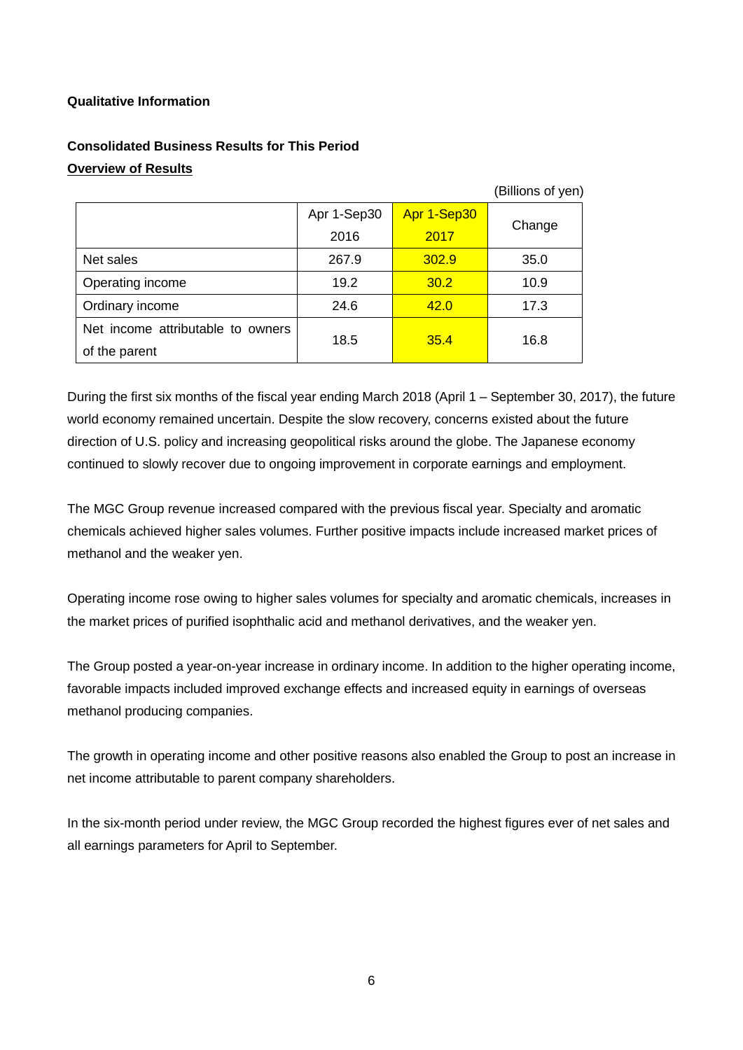# **Qualitative Information**

# **Consolidated Business Results for This Period Overview of Results**

|                                   | (Billions of yen) |             |        |  |
|-----------------------------------|-------------------|-------------|--------|--|
|                                   | Apr 1-Sep30       | Apr 1-Sep30 |        |  |
|                                   | 2016              | 2017        | Change |  |
| Net sales                         | 267.9             | 302.9       | 35.0   |  |
| Operating income                  | 19.2              | 30.2        | 10.9   |  |
| Ordinary income                   | 24.6              | 42.0        | 17.3   |  |
| Net income attributable to owners | 18.5              | 35.4        | 16.8   |  |
| of the parent                     |                   |             |        |  |

During the first six months of the fiscal year ending March 2018 (April 1 – September 30, 2017), the future world economy remained uncertain. Despite the slow recovery, concerns existed about the future direction of U.S. policy and increasing geopolitical risks around the globe. The Japanese economy continued to slowly recover due to ongoing improvement in corporate earnings and employment.

The MGC Group revenue increased compared with the previous fiscal year. Specialty and aromatic chemicals achieved higher sales volumes. Further positive impacts include increased market prices of methanol and the weaker yen.

Operating income rose owing to higher sales volumes for specialty and aromatic chemicals, increases in the market prices of purified isophthalic acid and methanol derivatives, and the weaker yen.

The Group posted a year-on-year increase in ordinary income. In addition to the higher operating income, favorable impacts included improved exchange effects and increased equity in earnings of overseas methanol producing companies.

The growth in operating income and other positive reasons also enabled the Group to post an increase in net income attributable to parent company shareholders.

In the six-month period under review, the MGC Group recorded the highest figures ever of net sales and all earnings parameters for April to September.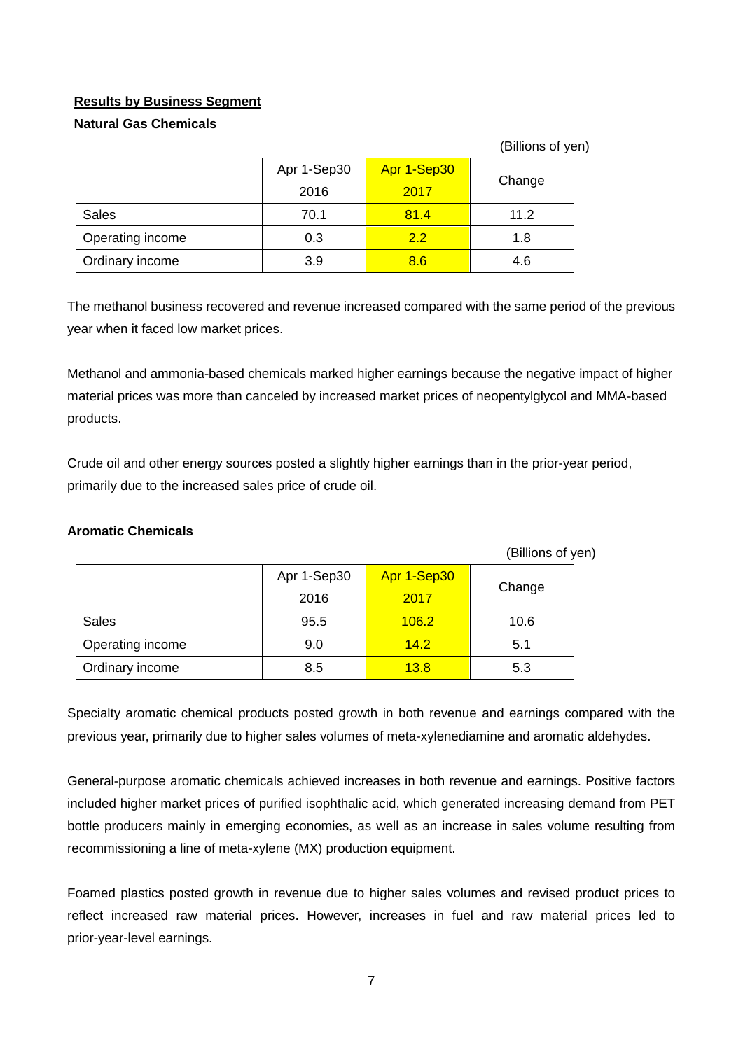# **Results by Business Segment**

# **Natural Gas Chemicals**

(Billions of yen)

|                  | Apr 1-Sep30 | Apr 1-Sep30 | Change |  |
|------------------|-------------|-------------|--------|--|
|                  | 2016        | 2017        |        |  |
| <b>Sales</b>     | 70.1        | 81.4        | 11.2   |  |
| Operating income | 0.3         | 22          | 1.8    |  |
| Ordinary income  | 3.9         | 8.6         | 4.6    |  |

The methanol business recovered and revenue increased compared with the same period of the previous year when it faced low market prices.

Methanol and ammonia-based chemicals marked higher earnings because the negative impact of higher material prices was more than canceled by increased market prices of neopentylglycol and MMA-based products.

Crude oil and other energy sources posted a slightly higher earnings than in the prior-year period, primarily due to the increased sales price of crude oil.

| (Billions of yen) |             |                |      |  |  |
|-------------------|-------------|----------------|------|--|--|
|                   | Apr 1-Sep30 | Apr 1-Sep30    |      |  |  |
|                   | 2016        | Change<br>2017 |      |  |  |
| <b>Sales</b>      | 95.5        | 106.2          | 10.6 |  |  |
| Operating income  | 9.0         | 14.2           | 5.1  |  |  |
| Ordinary income   | 8.5         | 13.8           | 5.3  |  |  |

# **Aromatic Chemicals**

Specialty aromatic chemical products posted growth in both revenue and earnings compared with the previous year, primarily due to higher sales volumes of meta-xylenediamine and aromatic aldehydes.

General-purpose aromatic chemicals achieved increases in both revenue and earnings. Positive factors included higher market prices of purified isophthalic acid, which generated increasing demand from PET bottle producers mainly in emerging economies, as well as an increase in sales volume resulting from recommissioning a line of meta-xylene (MX) production equipment.

Foamed plastics posted growth in revenue due to higher sales volumes and revised product prices to reflect increased raw material prices. However, increases in fuel and raw material prices led to prior-year-level earnings.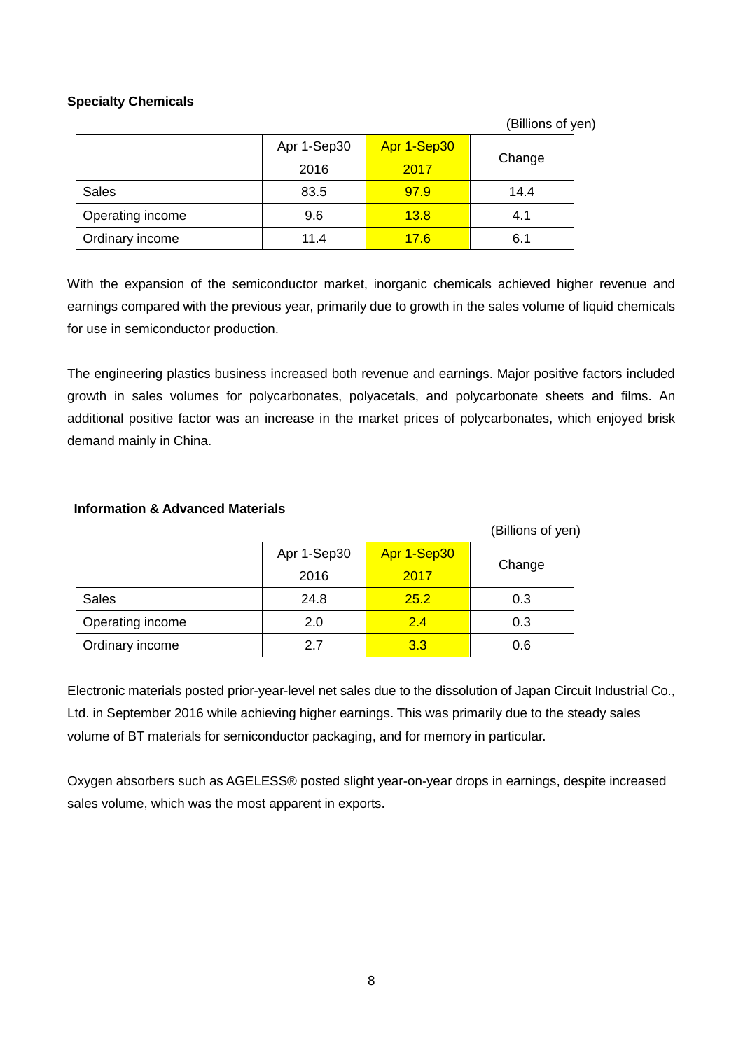# **Specialty Chemicals**

(Billions of yen)

|                  | Apr 1-Sep30<br>2016 | Apr 1-Sep30<br>2017 | Change |  |
|------------------|---------------------|---------------------|--------|--|
| <b>Sales</b>     | 83.5                | 97.9                | 14.4   |  |
| Operating income | 9.6                 | 13.8                | 4.1    |  |
| Ordinary income  | 11.4                | 17.6                | 6.1    |  |

With the expansion of the semiconductor market, inorganic chemicals achieved higher revenue and earnings compared with the previous year, primarily due to growth in the sales volume of liquid chemicals for use in semiconductor production.

The engineering plastics business increased both revenue and earnings. Major positive factors included growth in sales volumes for polycarbonates, polyacetals, and polycarbonate sheets and films. An additional positive factor was an increase in the market prices of polycarbonates, which enjoyed brisk demand mainly in China.

### **Information & Advanced Materials**

| (Billions of yen) |             |                |     |  |
|-------------------|-------------|----------------|-----|--|
|                   | Apr 1-Sep30 | Apr 1-Sep30    |     |  |
|                   | 2016        | Change<br>2017 |     |  |
| <b>Sales</b>      | 24.8        | 25.2           | 0.3 |  |
| Operating income  | 2.0         | 2.4            | 0.3 |  |
| Ordinary income   | 27          | 3.3            | 0.6 |  |

Electronic materials posted prior-year-level net sales due to the dissolution of Japan Circuit Industrial Co., Ltd. in September 2016 while achieving higher earnings. This was primarily due to the steady sales volume of BT materials for semiconductor packaging, and for memory in particular.

Oxygen absorbers such as AGELESS® posted slight year-on-year drops in earnings, despite increased sales volume, which was the most apparent in exports.